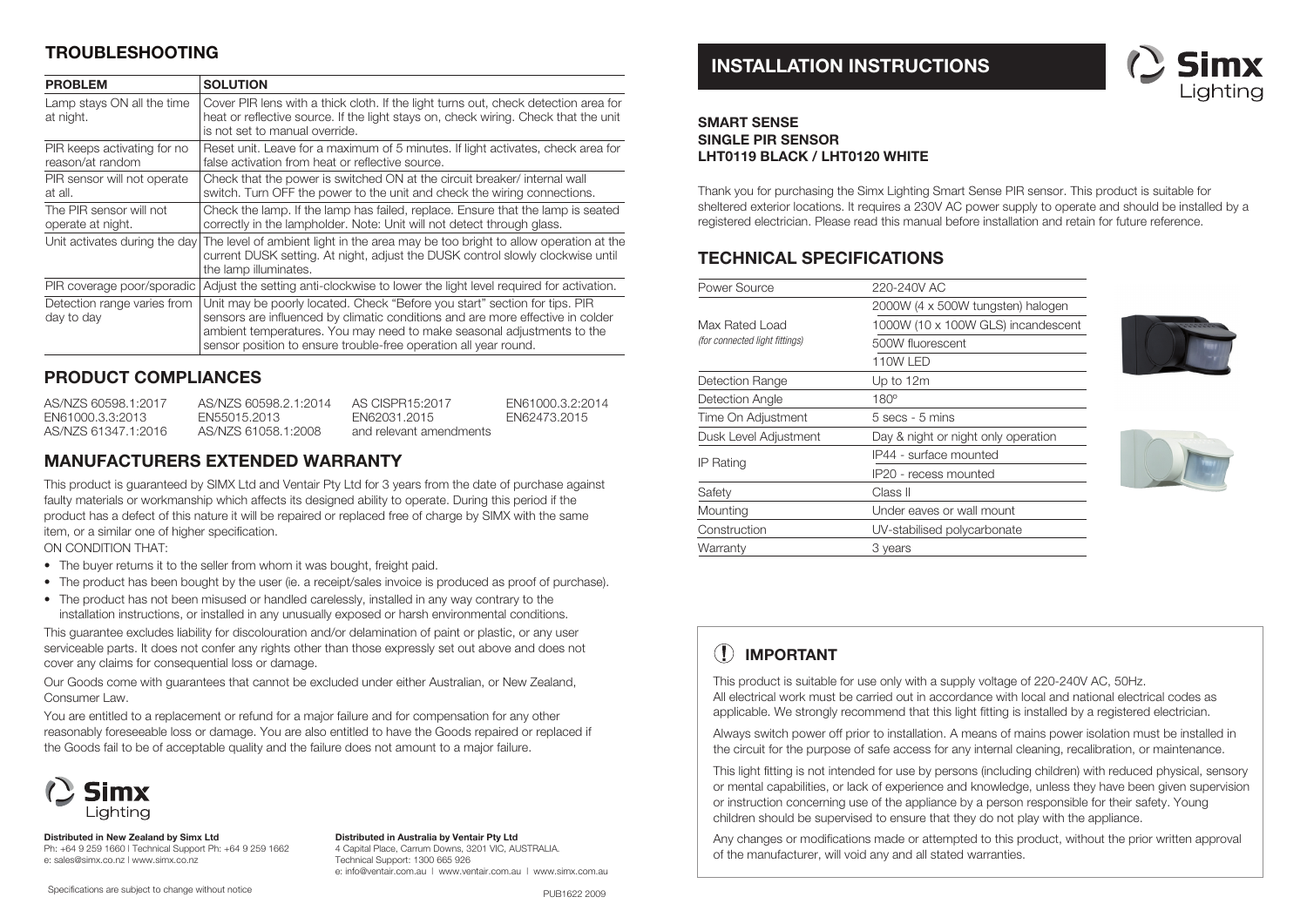# **TROUBLESHOOTING**

| <b>PROBLEM</b>                                  | <b>SOLUTION</b>                                                                                                                                                                                                                                                                                            |
|-------------------------------------------------|------------------------------------------------------------------------------------------------------------------------------------------------------------------------------------------------------------------------------------------------------------------------------------------------------------|
| Lamp stays ON all the time<br>at night.         | Cover PIR lens with a thick cloth. If the light turns out, check detection area for<br>heat or reflective source. If the light stays on, check wiring. Check that the unit<br>is not set to manual override.                                                                                               |
| PIR keeps activating for no<br>reason/at random | Reset unit. Leave for a maximum of 5 minutes. If light activates, check area for<br>false activation from heat or reflective source.                                                                                                                                                                       |
| PIR sensor will not operate<br>at all.          | Check that the power is switched ON at the circuit breaker/ internal wall<br>switch. Turn OFF the power to the unit and check the wiring connections.                                                                                                                                                      |
| The PIR sensor will not<br>operate at night.    | Check the lamp. If the lamp has failed, replace. Ensure that the lamp is seated<br>correctly in the lampholder. Note: Unit will not detect through glass.                                                                                                                                                  |
| Unit activates during the day                   | The level of ambient light in the area may be too bright to allow operation at the<br>current DUSK setting. At night, adjust the DUSK control slowly clockwise until<br>the lamp illuminates.                                                                                                              |
| PIR coverage poor/sporadic                      | Adjust the setting anti-clockwise to lower the light level required for activation.                                                                                                                                                                                                                        |
| Detection range varies from<br>day to day       | Unit may be poorly located. Check "Before you start" section for tips. PIR<br>sensors are influenced by climatic conditions and are more effective in colder<br>ambient temperatures. You may need to make seasonal adjustments to the<br>sensor position to ensure trouble-free operation all year round. |

### **PRODUCT COMPLIANCES**

| AS/NZS 60598.1:2017 | AS/NZS 60598.2.1:2014 | AS CISPR15:2017         | FN61000.3.2:2014 |
|---------------------|-----------------------|-------------------------|------------------|
| EN61000.3.3:2013    | FN55015.2013          | FN62031.2015            | FN62473.2015     |
| AS/NZS 61347.1:2016 | AS/NZS 61058.1:2008   | and relevant amendments |                  |

## **MANUFACTURERS EXTENDED WARRANTY**

This product is guaranteed by SIMX Ltd and Ventair Pty Ltd for 3 years from the date of purchase against faulty materials or workmanship which affects its designed ability to operate. During this period if the product has a defect of this nature it will be repaired or replaced free of charge by SIMX with the same item, or a similar one of higher specification.

ON CONDITION THAT:

- The buyer returns it to the seller from whom it was bought, freight paid.
- The product has been bought by the user (ie. a receipt/sales invoice is produced as proof of purchase).
- The product has not been misused or handled carelessly, installed in any way contrary to the installation instructions, or installed in any unusually exposed or harsh environmental conditions.

This guarantee excludes liability for discolouration and/or delamination of paint or plastic, or any user serviceable parts. It does not confer any rights other than those expressly set out above and does not cover any claims for consequential loss or damage.

Our Goods come with guarantees that cannot be excluded under either Australian, or New Zealand, Consumer Law.

You are entitled to a replacement or refund for a major failure and for compensation for any other reasonably foreseeable loss or damage. You are also entitled to have the Goods repaired or replaced if the Goods fail to be of acceptable quality and the failure does not amount to a major failure.



**Distributed in New Zealand by Simx Ltd** Ph: +64 9 259 1660 | Technical Support Ph: +64 9 259 1662 e: sales@simx.co.nz | www.simx.co.nz

**Distributed in Australia by Ventair Pty Ltd** 4 Capital Place, Carrum Downs, 3201 VIC, AUSTRALIA. Technical Support: 1300 665 926 e: info@ventair.com.au | www.ventair.com.au | www.simx.com.au

#### Specifications are subject to change without notice

# **INSTALLATION INSTRUCTIONS**



### **SMART SENSE SINGLE PIR SENSORLHT0119 BLACK / LHT0120 WHITE**

Thank you for purchasing the Simx Lighting Smart Sense PIR sensor. This product is suitable for sheltered exterior locations. It requires a 230V AC power supply to operate and should be installed by a registered electrician. Please read this manual before installation and retain for future reference.

# **TECHNICAL SPECIFICATIONS**

| Power Source                   | 220-240V AC                         |  |
|--------------------------------|-------------------------------------|--|
|                                | 2000W (4 x 500W tungsten) halogen   |  |
| Max Rated Load                 | 1000W (10 x 100W GLS) incandescent  |  |
| (for connected light fittings) | 500W fluorescent                    |  |
|                                | <b>110W LED</b>                     |  |
| Detection Range                | Up to 12m                           |  |
| Detection Angle                | $180^\circ$                         |  |
| Time On Adjustment             | $5$ secs - $5$ mins                 |  |
| Dusk Level Adjustment          | Day & night or night only operation |  |
| IP Rating                      | IP44 - surface mounted              |  |
|                                | IP20 - recess mounted               |  |
| Safety                         | Class II                            |  |
| Mounting                       | Under eaves or wall mount           |  |
| Construction                   | UV-stabilised polycarbonate         |  |
| Warranty                       | 3 years                             |  |
|                                |                                     |  |





#### $\mathbf{I}$ **IMPORTANT**

This product is suitable for use only with a supply voltage of 220-240V AC, 50Hz. All electrical work must be carried out in accordance with local and national electrical codes as applicable. We strongly recommend that this light fitting is installed by a registered electrician.

Always switch power off prior to installation. A means of mains power isolation must be installed in the circuit for the purpose of safe access for any internal cleaning, recalibration, or maintenance.

This light fitting is not intended for use by persons (including children) with reduced physical, sensory or mental capabilities, or lack of experience and knowledge, unless they have been given supervision or instruction concerning use of the appliance by a person responsible for their safety. Young children should be supervised to ensure that they do not play with the appliance.

Any changes or modifications made or attempted to this product, without the prior written approval of the manufacturer, will void any and all stated warranties.